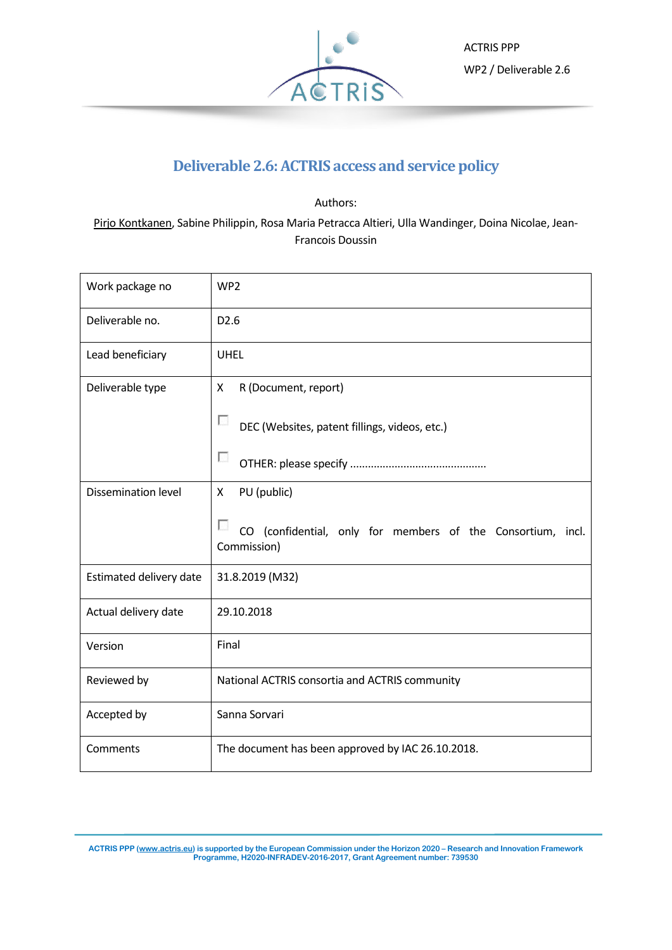

# **Deliverable 2.6:ACTRIS access and service policy**

Authors: Pirjo Kontkanen, Sabine Philippin, Rosa Maria Petracca Altieri, Ulla Wandinger, Doina Nicolae, Jean-Francois Doussin

| Work package no            | WP <sub>2</sub>                                                            |
|----------------------------|----------------------------------------------------------------------------|
| Deliverable no.            | D <sub>2.6</sub>                                                           |
| Lead beneficiary           | <b>UHEL</b>                                                                |
| Deliverable type           | R (Document, report)<br>X                                                  |
|                            | п<br>DEC (Websites, patent fillings, videos, etc.)                         |
|                            | п                                                                          |
| <b>Dissemination level</b> | PU (public)<br>X.                                                          |
|                            | CO (confidential, only for members of the Consortium, incl.<br>Commission) |
| Estimated delivery date    | 31.8.2019 (M32)                                                            |
| Actual delivery date       | 29.10.2018                                                                 |
| Version                    | Final                                                                      |
| Reviewed by                | National ACTRIS consortia and ACTRIS community                             |
| Accepted by                | Sanna Sorvari                                                              |
| Comments                   | The document has been approved by IAC 26.10.2018.                          |

**ACTRIS PPP [\(www.actris.eu\)](http://www.actris.eu/) is supported by the European Commission under the Horizon 2020 – Research and Innovation Framework Programme, H2020-INFRADEV-2016-2017, Grant Agreement number: 739530**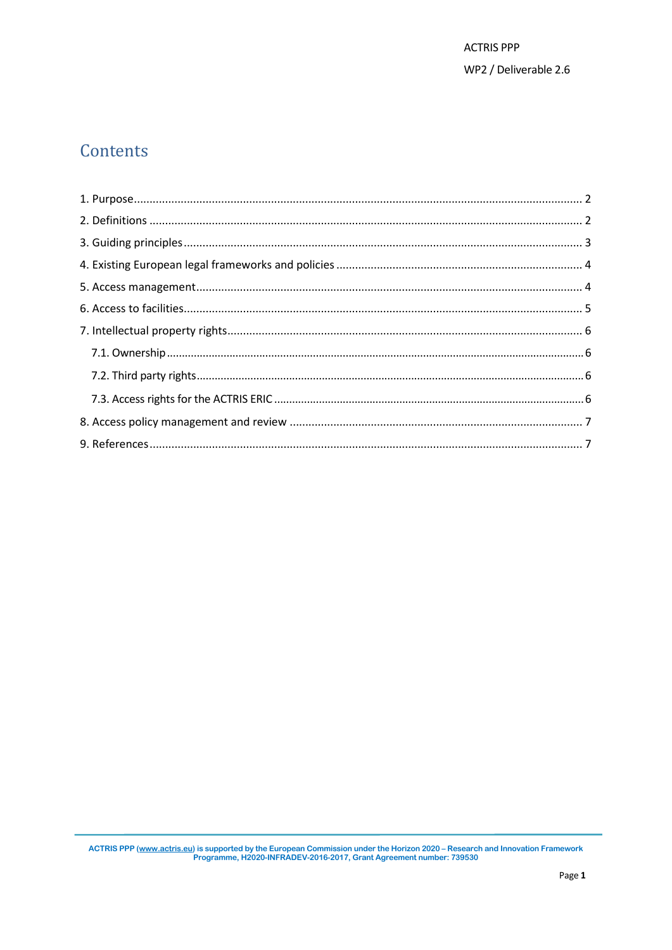# Contents

ACTRIS PPP (www.actris.eu) is supported by the European Commission under the Horizon 2020 – Research and Innovation Framework<br>Programme, H2020-INFRADEV-2016-2017, Grant Agreement number: 739530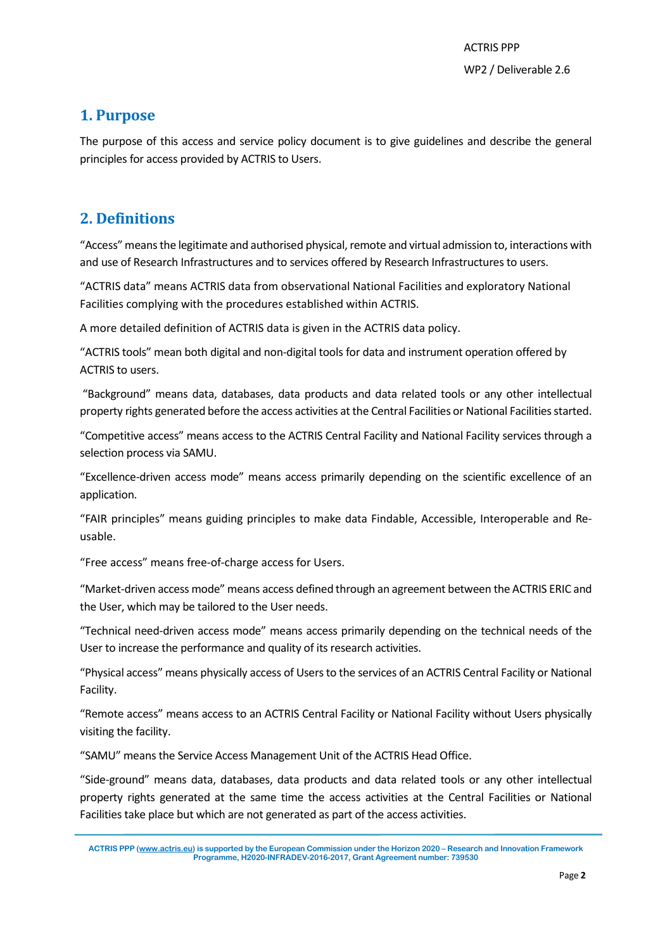### <span id="page-2-0"></span>**1. Purpose**

The purpose of this access and service policy document is to give guidelines and describe the general principles for access provided by ACTRIS to Users.

# <span id="page-2-1"></span>**2. Definitions**

"Access"meansthe legitimate and authorised physical, remote and virtual admission to, interactions with and use of Research Infrastructures and to services offered by Research Infrastructures to users.

"ACTRIS data" means ACTRIS data from observational National Facilities and exploratory National Facilities complying with the procedures established within ACTRIS.

A more detailed definition of ACTRIS data is given in the ACTRIS data policy.

"ACTRIS tools" mean both digital and non-digital tools for data and instrument operation offered by ACTRIS to users.

"Background" means data, databases, data products and data related tools or any other intellectual property rights generated before the access activities at the Central Facilities or National Facilities started.

"Competitive access" means access to the ACTRIS Central Facility and National Facility services through a selection process via SAMU.

"Excellence-driven access mode" means access primarily depending on the scientific excellence of an application.

"FAIR principles" means guiding principles to make data Findable, Accessible, Interoperable and Reusable.

"Free access" means free-of-charge access for Users.

"Market-driven access mode" means access defined through an agreement between the ACTRIS ERIC and the User, which may be tailored to the User needs.

"Technical need-driven access mode" means access primarily depending on the technical needs of the User to increase the performance and quality of its research activities.

"Physical access" means physically access of Users to the services of an ACTRIS Central Facility or National Facility.

"Remote access" means access to an ACTRIS Central Facility or National Facility without Users physically visiting the facility.

"SAMU" means the Service Access Management Unit of the ACTRIS Head Office.

"Side-ground" means data, databases, data products and data related tools or any other intellectual property rights generated at the same time the access activities at the Central Facilities or National Facilities take place but which are not generated as part of the access activities.

**ACTRIS PPP [\(www.actris.eu\)](http://www.actris.eu/) is supported by the European Commission under the Horizon 2020 – Research and Innovation Framework Programme, H2020-INFRADEV-2016-2017, Grant Agreement number: 739530**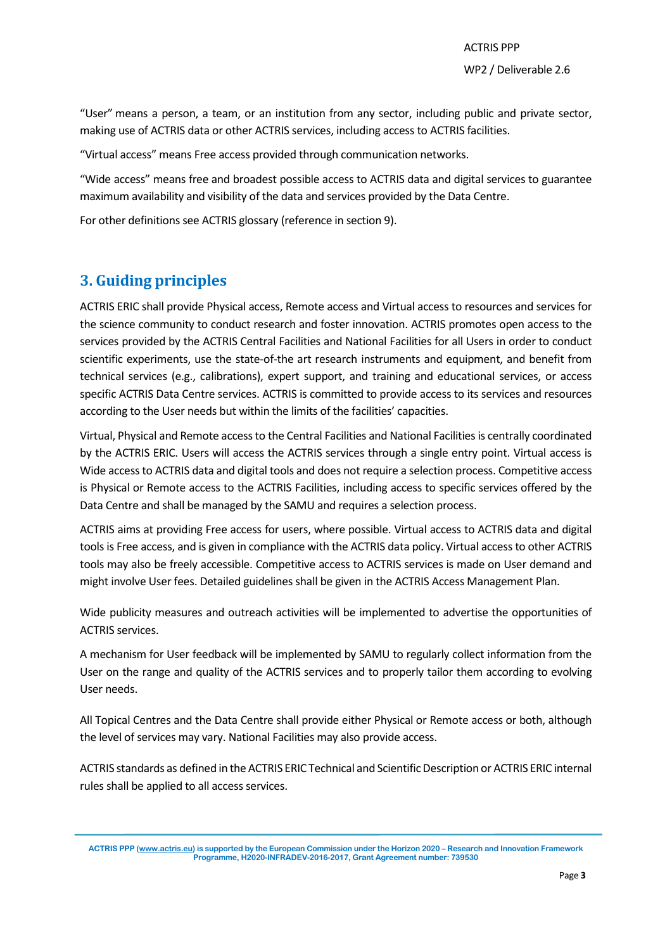"User" means a person, a team, or an institution from any sector, including public and private sector, making use of ACTRIS data or other ACTRIS services, including access to ACTRIS facilities.

"Virtual access" means Free access provided through communication networks.

"Wide access" means free and broadest possible access to ACTRIS data and digital services to guarantee maximum availability and visibility of the data and services provided by the Data Centre.

<span id="page-3-0"></span>For other definitions see ACTRIS glossary (reference in section 9).

# **3. Guiding principles**

ACTRIS ERIC shall provide Physical access, Remote access and Virtual access to resources and services for the science community to conduct research and foster innovation. ACTRIS promotes open access to the services provided by the ACTRIS Central Facilities and National Facilities for all Users in order to conduct scientific experiments, use the state-of-the art research instruments and equipment, and benefit from technical services (e.g., calibrations), expert support, and training and educational services, or access specific ACTRIS Data Centre services. ACTRIS is committed to provide access to its services and resources according to the User needs but within the limits of the facilities' capacities.

Virtual, Physical and Remote access to the Central Facilities and National Facilities is centrally coordinated by the ACTRIS ERIC. Users will access the ACTRIS services through a single entry point. Virtual access is Wide access to ACTRIS data and digital tools and does not require a selection process. Competitive access is Physical or Remote access to the ACTRIS Facilities, including access to specific services offered by the Data Centre and shall be managed by the SAMU and requires a selection process.

ACTRIS aims at providing Free access for users, where possible. Virtual access to ACTRIS data and digital tools is Free access, and is given in compliance with the ACTRIS data policy. Virtual access to other ACTRIS tools may also be freely accessible. Competitive access to ACTRIS services is made on User demand and might involve User fees. Detailed guidelines shall be given in the ACTRIS Access Management Plan.

Wide publicity measures and outreach activities will be implemented to advertise the opportunities of ACTRIS services.

A mechanism for User feedback will be implemented by SAMU to regularly collect information from the User on the range and quality of the ACTRIS services and to properly tailor them according to evolving User needs.

All Topical Centres and the Data Centre shall provide either Physical or Remote access or both, although the level of services may vary. National Facilities may also provide access.

ACTRIS standards as defined in the ACTRIS ERIC Technical and Scientific Description or ACTRIS ERIC internal rules shall be applied to all access services.

**ACTRIS PPP [\(www.actris.eu\)](http://www.actris.eu/) is supported by the European Commission under the Horizon 2020 – Research and Innovation Framework Programme, H2020-INFRADEV-2016-2017, Grant Agreement number: 739530**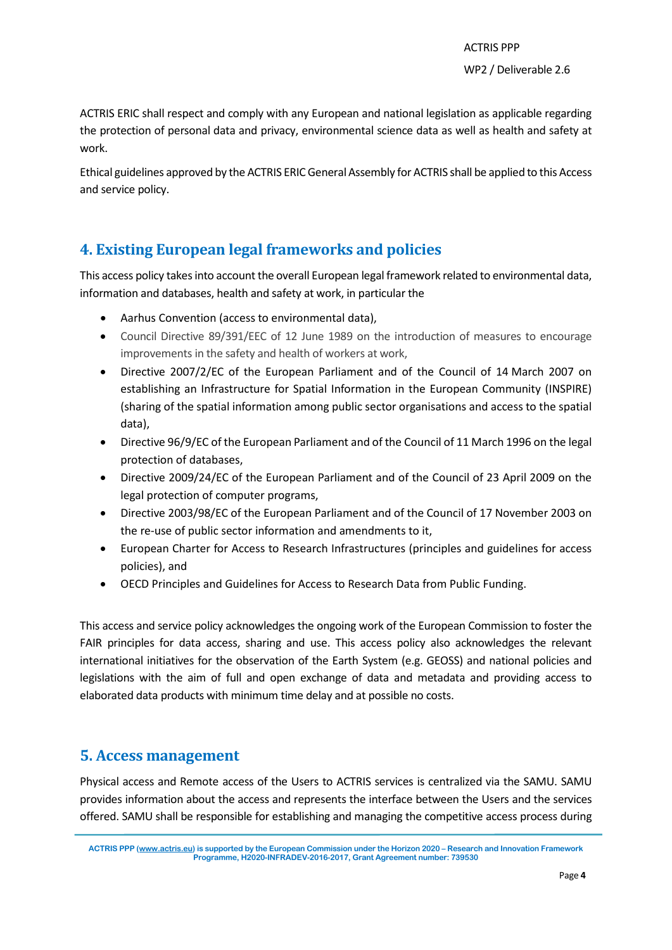ACTRIS ERIC shall respect and comply with any European and national legislation as applicable regarding the protection of personal data and privacy, environmental science data as well as health and safety at work.

Ethical guidelines approved by the ACTRIS ERIC General Assembly for ACTRIS shall be applied to this Access and service policy.

# <span id="page-4-0"></span>**4. Existing European legal frameworks and policies**

This access policy takes into account the overall European legal framework related to environmental data, information and databases, health and safety at work, in particular the

- Aarhus Convention (access to environmental data),
- Council Directive 89/391/EEC of 12 June 1989 on the introduction of measures to encourage improvements in the safety and health of workers at work,
- Directive 2007/2/EC of the European Parliament and of the Council of 14 March 2007 on establishing an Infrastructure for Spatial Information in the European Community (INSPIRE) (sharing of the spatial information among public sector organisations and access to the spatial data),
- Directive 96/9/EC of the European Parliament and of the Council of 11 March 1996 on the legal protection of databases,
- Directive 2009/24/EC of the European Parliament and of the Council of 23 April 2009 on the legal protection of computer programs,
- Directive 2003/98/EC of the European Parliament and of the Council of 17 November 2003 on the re-use of public sector information and amendments to it,
- European Charter for Access to Research Infrastructures (principles and guidelines for access policies), and
- OECD Principles and Guidelines for Access to Research Data from Public Funding.

This access and service policy acknowledges the ongoing work of the European Commission to foster the FAIR principles for data access, sharing and use. This access policy also acknowledges the relevant international initiatives for the observation of the Earth System (e.g. GEOSS) and national policies and legislations with the aim of full and open exchange of data and metadata and providing access to elaborated data products with minimum time delay and at possible no costs.

# <span id="page-4-1"></span>**5. Access management**

Physical access and Remote access of the Users to ACTRIS services is centralized via the SAMU. SAMU provides information about the access and represents the interface between the Users and the services offered. SAMU shall be responsible for establishing and managing the competitive access process during

**ACTRIS PPP [\(www.actris.eu\)](http://www.actris.eu/) is supported by the European Commission under the Horizon 2020 – Research and Innovation Framework Programme, H2020-INFRADEV-2016-2017, Grant Agreement number: 739530**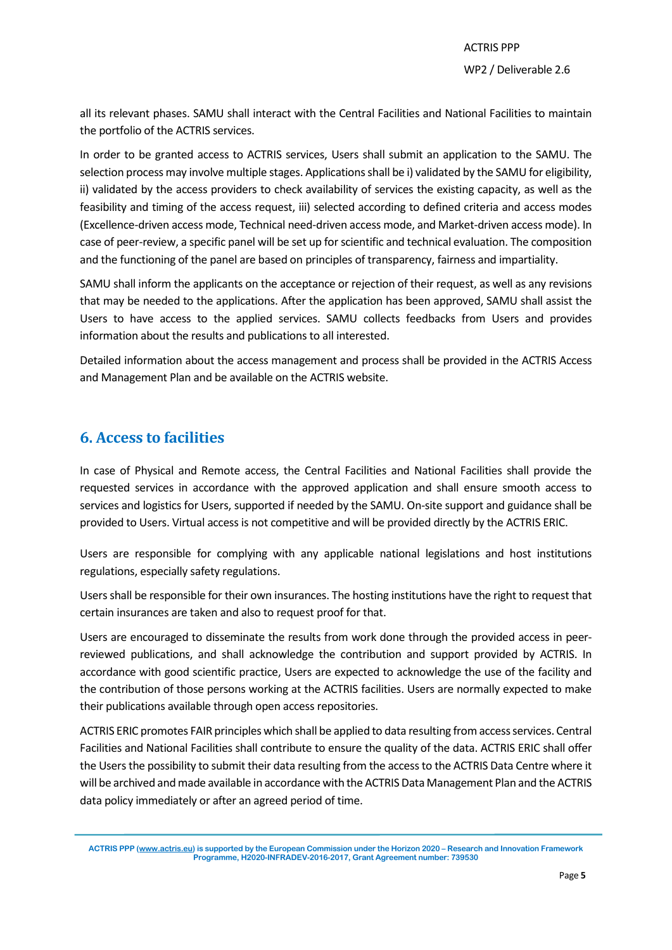all its relevant phases. SAMU shall interact with the Central Facilities and National Facilities to maintain the portfolio of the ACTRIS services.

In order to be granted access to ACTRIS services, Users shall submit an application to the SAMU. The selection process may involve multiple stages. Applications shall be i) validated by the SAMU for eligibility, ii) validated by the access providers to check availability of services the existing capacity, as well as the feasibility and timing of the access request, iii) selected according to defined criteria and access modes (Excellence-driven access mode, Technical need-driven access mode, and Market-driven access mode). In case of peer-review, a specific panel will be set up for scientific and technical evaluation. The composition and the functioning of the panel are based on principles of transparency, fairness and impartiality.

SAMU shall inform the applicants on the acceptance or rejection of their request, as well as any revisions that may be needed to the applications. After the application has been approved, SAMU shall assist the Users to have access to the applied services. SAMU collects feedbacks from Users and provides information about the results and publications to all interested.

Detailed information about the access management and process shall be provided in the ACTRIS Access and Management Plan and be available on the ACTRIS website.

### <span id="page-5-0"></span>**6. Access to facilities**

In case of Physical and Remote access, the Central Facilities and National Facilities shall provide the requested services in accordance with the approved application and shall ensure smooth access to services and logistics for Users, supported if needed by the SAMU. On-site support and guidance shall be provided to Users. Virtual access is not competitive and will be provided directly by the ACTRIS ERIC.

Users are responsible for complying with any applicable national legislations and host institutions regulations, especially safety regulations.

Users shall be responsible for their own insurances. The hosting institutions have the right to request that certain insurances are taken and also to request proof for that.

Users are encouraged to disseminate the results from work done through the provided access in peerreviewed publications, and shall acknowledge the contribution and support provided by ACTRIS. In accordance with good scientific practice, Users are expected to acknowledge the use of the facility and the contribution of those persons working at the ACTRIS facilities. Users are normally expected to make their publications available through open access repositories.

ACTRIS ERIC promotes FAIR principles which shall be applied to data resulting fromaccess services. Central Facilities and National Facilities shall contribute to ensure the quality of the data. ACTRIS ERIC shall offer the Users the possibility to submit their data resulting from the access to the ACTRIS Data Centre where it will be archived and made available in accordance with the ACTRIS Data Management Plan and the ACTRIS data policy immediately or after an agreed period of time.

**ACTRIS PPP [\(www.actris.eu\)](http://www.actris.eu/) is supported by the European Commission under the Horizon 2020 – Research and Innovation Framework Programme, H2020-INFRADEV-2016-2017, Grant Agreement number: 739530**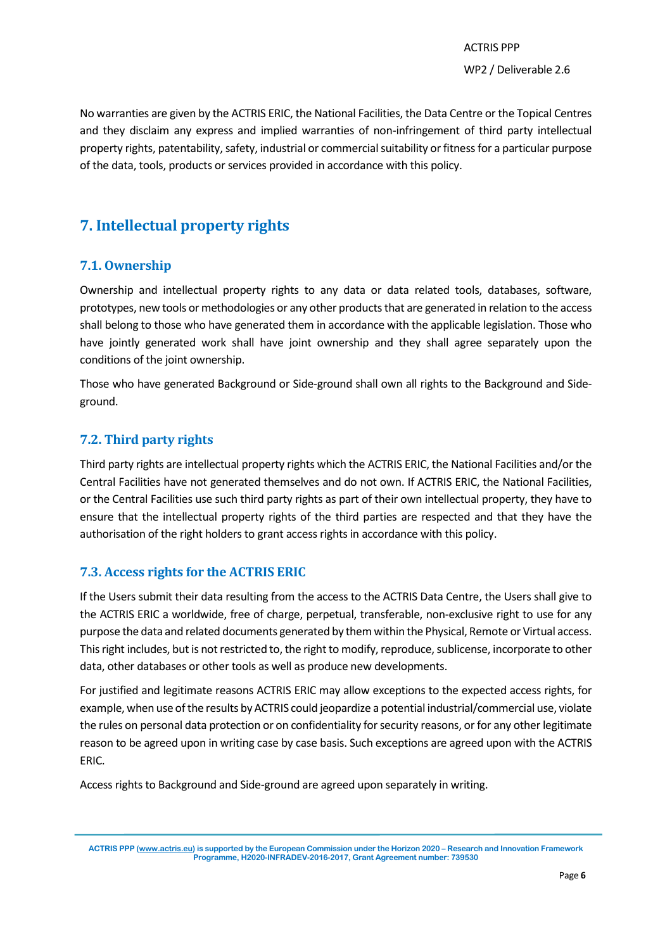No warranties are given by the ACTRIS ERIC, the National Facilities, the Data Centre or the Topical Centres and they disclaim any express and implied warranties of non-infringement of third party intellectual property rights, patentability, safety, industrial or commercial suitability or fitness for a particular purpose of the data, tools, products or services provided in accordance with this policy.

# <span id="page-6-0"></span>**7. Intellectual property rights**

#### <span id="page-6-1"></span>**7.1. Ownership**

Ownership and intellectual property rights to any data or data related tools, databases, software, prototypes, new tools or methodologies or any other products that are generated in relation to the access shall belong to those who have generated them in accordance with the applicable legislation. Those who have jointly generated work shall have joint ownership and they shall agree separately upon the conditions of the joint ownership.

Those who have generated Background or Side-ground shall own all rights to the Background and Sideground.

#### <span id="page-6-2"></span>**7.2. Third party rights**

Third party rights are intellectual property rights which the ACTRIS ERIC, the National Facilities and/or the Central Facilities have not generated themselves and do not own. If ACTRIS ERIC, the National Facilities, or the Central Facilities use such third party rights as part of their own intellectual property, they have to ensure that the intellectual property rights of the third parties are respected and that they have the authorisation of the right holders to grant access rights in accordance with this policy.

#### <span id="page-6-3"></span>**7.3. Access rights for the ACTRIS ERIC**

If the Users submit their data resulting from the access to the ACTRIS Data Centre, the Users shall give to the ACTRIS ERIC a worldwide, free of charge, perpetual, transferable, non-exclusive right to use for any purpose the data and related documents generated by them within the Physical, Remote or Virtual access. This right includes, but is not restricted to, the right to modify, reproduce, sublicense, incorporate to other data, other databases or other tools as well as produce new developments.

For justified and legitimate reasons ACTRIS ERIC may allow exceptions to the expected access rights, for example, when use of the results by ACTRIS could jeopardize a potential industrial/commercial use, violate the rules on personal data protection or on confidentiality forsecurity reasons, or for any other legitimate reason to be agreed upon in writing case by case basis. Such exceptions are agreed upon with the ACTRIS ERIC.

Access rights to Background and Side-ground are agreed upon separately in writing.

**ACTRIS PPP [\(www.actris.eu\)](http://www.actris.eu/) is supported by the European Commission under the Horizon 2020 – Research and Innovation Framework Programme, H2020-INFRADEV-2016-2017, Grant Agreement number: 739530**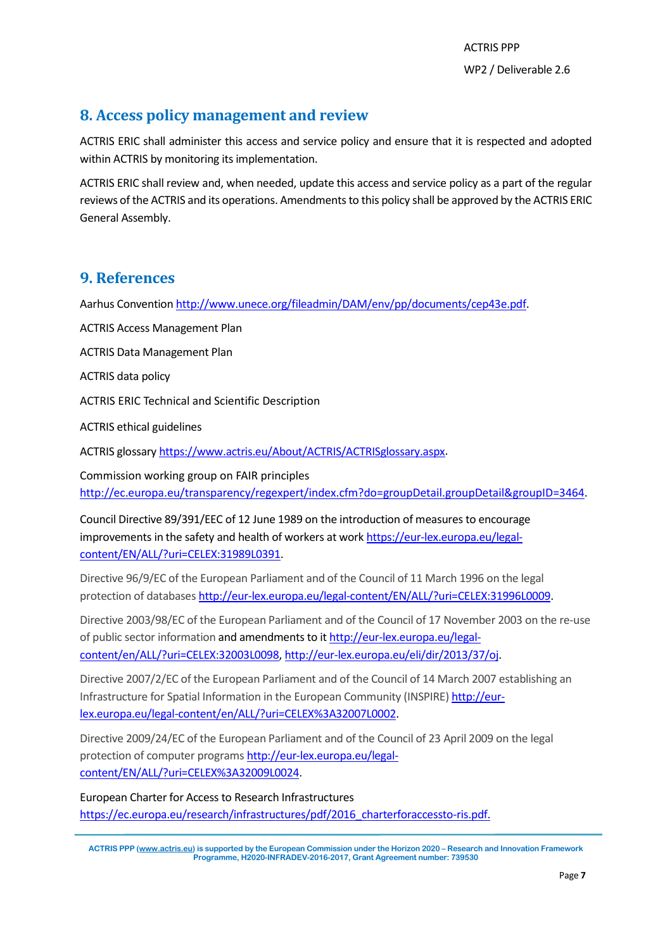# <span id="page-7-0"></span>**8. Access policy management and review**

ACTRIS ERIC shall administer this access and service policy and ensure that it is respected and adopted within ACTRIS by monitoring its implementation.

ACTRIS ERIC shall review and, when needed, update this access and service policy as a part of the regular reviews of the ACTRIS and its operations. Amendments to this policy shall be approved by the ACTRIS ERIC General Assembly.

### <span id="page-7-1"></span>**9. References**

Aarhus Convention [http://www.unece.org/fileadmin/DAM/env/pp/documents/cep43e.pdf.](http://www.unece.org/fileadmin/DAM/env/pp/documents/cep43e.pdf)

ACTRIS Access Management Plan

ACTRIS Data Management Plan

ACTRIS data policy

ACTRIS ERIC Technical and Scientific Description

ACTRIS ethical guidelines

ACTRIS glossary [https://www.actris.eu/About/ACTRIS/ACTRISglossary.aspx.](https://www.actris.eu/About/ACTRIS/ACTRISglossary.aspx)

Commission working group on FAIR principles [http://ec.europa.eu/transparency/regexpert/index.cfm?do=groupDetail.groupDetail&groupID=3464.](http://ec.europa.eu/transparency/regexpert/index.cfm?do=groupDetail.groupDetail&groupID=3464)

Council Directive 89/391/EEC of 12 June 1989 on the introduction of measures to encourage improvements in the safety and health of workers at work [https://eur-lex.europa.eu/legal](https://eur-lex.europa.eu/legal-content/EN/ALL/?uri=CELEX:31989L0391)[content/EN/ALL/?uri=CELEX:31989L0391.](https://eur-lex.europa.eu/legal-content/EN/ALL/?uri=CELEX:31989L0391)

Directive 96/9/EC of the European Parliament and of the Council of 11 March 1996 on the legal protection of databases [http://eur-lex.europa.eu/legal-content/EN/ALL/?uri=CELEX:31996L0009.](http://eur-lex.europa.eu/legal-content/EN/ALL/?uri=CELEX:31996L0009)

Directive 2003/98/EC of the European Parliament and of the Council of 17 November 2003 on the re-use of public sector information and amendments to it [http://eur-lex.europa.eu/legal](http://eur-lex.europa.eu/legal-content/en/ALL/?uri=CELEX:32003L0098)[content/en/ALL/?uri=CELEX:32003L0098,](http://eur-lex.europa.eu/legal-content/en/ALL/?uri=CELEX:32003L0098) [http://eur-lex.europa.eu/eli/dir/2013/37/oj.](http://eur-lex.europa.eu/eli/dir/2013/37/oj)

Directive 2007/2/EC of the European Parliament and of the Council of 14 March 2007 establishing an Infrastructure for Spatial Information in the European Community (INSPIRE[\) http://eur](http://eur-lex.europa.eu/legal-content/en/ALL/?uri=CELEX%3A32007L0002)[lex.europa.eu/legal-content/en/ALL/?uri=CELEX%3A32007L0002.](http://eur-lex.europa.eu/legal-content/en/ALL/?uri=CELEX%3A32007L0002)

Directive 2009/24/EC of the European Parliament and of the Council of 23 April 2009 on the legal protection of computer program[s http://eur-lex.europa.eu/legal](http://eur-lex.europa.eu/legal-content/EN/ALL/?uri=CELEX%3A32009L0024)[content/EN/ALL/?uri=CELEX%3A32009L0024.](http://eur-lex.europa.eu/legal-content/EN/ALL/?uri=CELEX%3A32009L0024)

European Charter for Access to Research Infrastructures [https://ec.europa.eu/research/infrastructures/pdf/2016\\_charterforaccessto-ris.pdf.](https://ec.europa.eu/research/infrastructures/pdf/2016_charterforaccessto-ris.pdf)

**ACTRIS PPP [\(www.actris.eu\)](http://www.actris.eu/) is supported by the European Commission under the Horizon 2020 – Research and Innovation Framework Programme, H2020-INFRADEV-2016-2017, Grant Agreement number: 739530**